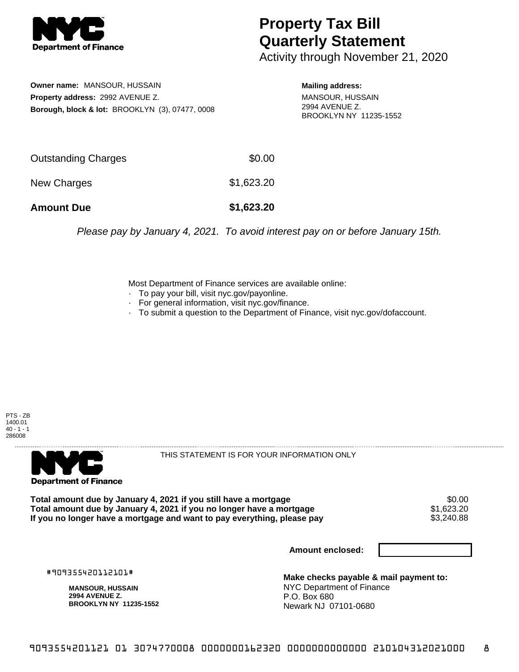

## **Property Tax Bill Quarterly Statement**

Activity through November 21, 2020

**Owner name:** MANSOUR, HUSSAIN **Property address:** 2992 AVENUE Z. **Borough, block & lot:** BROOKLYN (3), 07477, 0008

**Mailing address:** MANSOUR, HUSSAIN 2994 AVENUE Z. BROOKLYN NY 11235-1552

| <b>Amount Due</b>   | \$1,623.20 |
|---------------------|------------|
| New Charges         | \$1,623.20 |
| Outstanding Charges | \$0.00     |

Please pay by January 4, 2021. To avoid interest pay on or before January 15th.

Most Department of Finance services are available online:

- · To pay your bill, visit nyc.gov/payonline.
- For general information, visit nyc.gov/finance.
- · To submit a question to the Department of Finance, visit nyc.gov/dofaccount.





THIS STATEMENT IS FOR YOUR INFORMATION ONLY

Total amount due by January 4, 2021 if you still have a mortgage \$0.00<br>Total amount due by January 4, 2021 if you no longer have a mortgage \$1.623.20 **Total amount due by January 4, 2021 if you no longer have a mortgage**  $$1,623.20$ **<br>If you no longer have a mortgage and want to pay everything, please pay**  $$3,240.88$ If you no longer have a mortgage and want to pay everything, please pay

**Amount enclosed:**

#909355420112101#

**MANSOUR, HUSSAIN 2994 AVENUE Z. BROOKLYN NY 11235-1552**

**Make checks payable & mail payment to:** NYC Department of Finance P.O. Box 680 Newark NJ 07101-0680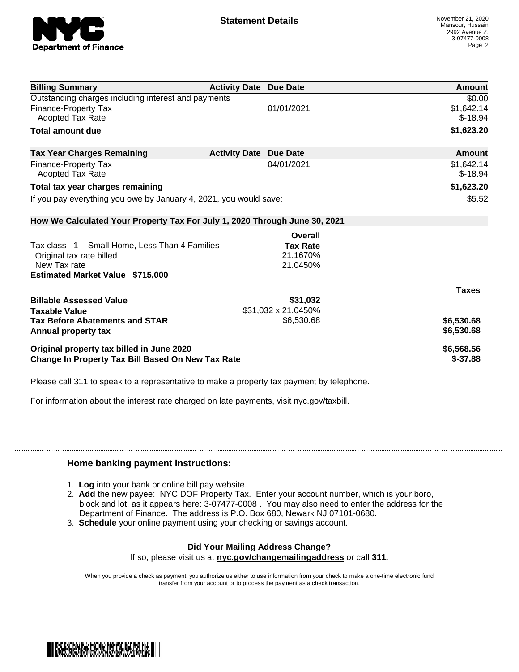

| <b>Billing Summary</b>                                                     | <b>Activity Date Due Date</b> |                     | Amount       |
|----------------------------------------------------------------------------|-------------------------------|---------------------|--------------|
| Outstanding charges including interest and payments                        |                               |                     | \$0.00       |
| <b>Finance-Property Tax</b>                                                |                               | 01/01/2021          | \$1,642.14   |
| <b>Adopted Tax Rate</b>                                                    |                               |                     | $$-18.94$    |
| <b>Total amount due</b>                                                    |                               |                     | \$1,623.20   |
| <b>Tax Year Charges Remaining</b>                                          | <b>Activity Date</b>          | <b>Due Date</b>     | Amount       |
| <b>Finance-Property Tax</b>                                                |                               | 04/01/2021          | \$1,642.14   |
| Adopted Tax Rate                                                           |                               |                     | $$-18.94$    |
| Total tax year charges remaining                                           |                               |                     | \$1,623.20   |
| If you pay everything you owe by January 4, 2021, you would save:          |                               |                     | \$5.52       |
| How We Calculated Your Property Tax For July 1, 2020 Through June 30, 2021 |                               |                     |              |
|                                                                            |                               | Overall             |              |
| Tax class 1 - Small Home, Less Than 4 Families                             |                               | <b>Tax Rate</b>     |              |
| Original tax rate billed                                                   |                               | 21.1670%            |              |
| New Tax rate                                                               |                               | 21.0450%            |              |
| <b>Estimated Market Value \$715,000</b>                                    |                               |                     |              |
|                                                                            |                               |                     | <b>Taxes</b> |
| <b>Billable Assessed Value</b>                                             |                               | \$31,032            |              |
| <b>Taxable Value</b>                                                       |                               | \$31,032 x 21.0450% |              |
| <b>Tax Before Abatements and STAR</b>                                      |                               | \$6,530.68          | \$6,530.68   |
| Annual property tax                                                        |                               |                     | \$6,530.68   |
| Original property tax billed in June 2020                                  |                               |                     | \$6,568.56   |
| <b>Change In Property Tax Bill Based On New Tax Rate</b>                   |                               |                     | $$-37.88$    |

Please call 311 to speak to a representative to make a property tax payment by telephone.

For information about the interest rate charged on late payments, visit nyc.gov/taxbill.

## **Home banking payment instructions:**

- 1. **Log** into your bank or online bill pay website.
- 2. **Add** the new payee: NYC DOF Property Tax. Enter your account number, which is your boro, block and lot, as it appears here: 3-07477-0008 . You may also need to enter the address for the Department of Finance. The address is P.O. Box 680, Newark NJ 07101-0680.
- 3. **Schedule** your online payment using your checking or savings account.

## **Did Your Mailing Address Change?**

If so, please visit us at **nyc.gov/changemailingaddress** or call **311.**

When you provide a check as payment, you authorize us either to use information from your check to make a one-time electronic fund transfer from your account or to process the payment as a check transaction.

![](_page_1_Picture_13.jpeg)